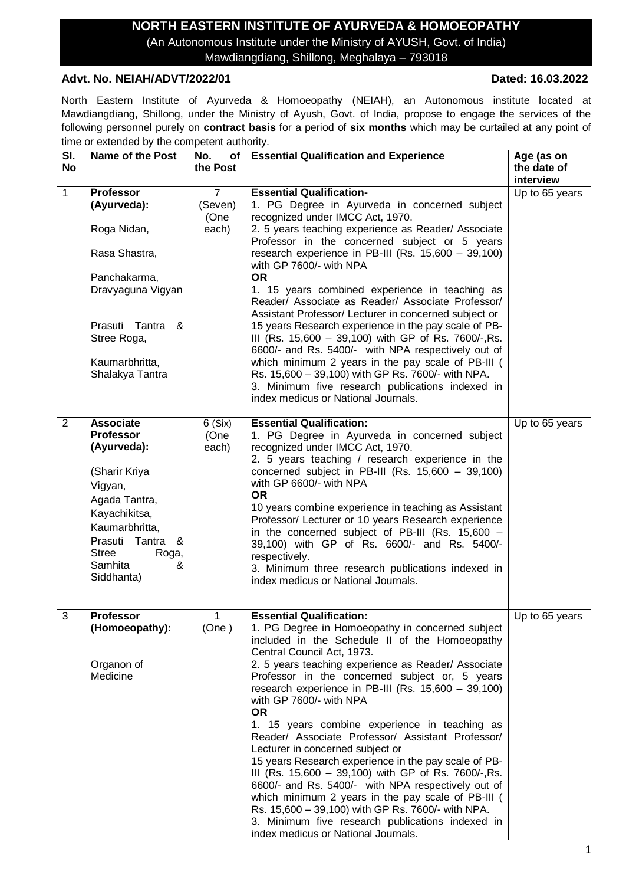## **NORTH EASTERN INSTITUTE OF AYURVEDA & HOMOEOPATHY**

(An Autonomous Institute under the Ministry of AYUSH, Govt. of India) Mawdiangdiang, Shillong, Meghalaya – 793018

### **Advt. No. NEIAH/ADVT/2022/01 Dated: 16.03.2022**

North Eastern Institute of Ayurveda & Homoeopathy (NEIAH), an Autonomous institute located at Mawdiangdiang, Shillong, under the Ministry of Ayush, Govt. of India, propose to engage the services of the following personnel purely on **contract basis** for a period of **six months** which may be curtailed at any point of time or extended by the competent authority.

| SI.       | <b>Name of the Post</b>                                                                                                                                                                                        | No.<br>of <sub>1</sub>        | <b>Essential Qualification and Experience</b>                                                                                                                                                                                                                                                                                                                                                                                                                                                                                                                                                                                                                                                                                                                                                                                                                                                     | Age (as on                  |
|-----------|----------------------------------------------------------------------------------------------------------------------------------------------------------------------------------------------------------------|-------------------------------|---------------------------------------------------------------------------------------------------------------------------------------------------------------------------------------------------------------------------------------------------------------------------------------------------------------------------------------------------------------------------------------------------------------------------------------------------------------------------------------------------------------------------------------------------------------------------------------------------------------------------------------------------------------------------------------------------------------------------------------------------------------------------------------------------------------------------------------------------------------------------------------------------|-----------------------------|
| <b>No</b> |                                                                                                                                                                                                                | the Post                      |                                                                                                                                                                                                                                                                                                                                                                                                                                                                                                                                                                                                                                                                                                                                                                                                                                                                                                   | the date of<br>interview    |
| 1         | <b>Professor</b><br>(Ayurveda):<br>Roga Nidan,<br>Rasa Shastra,<br>Panchakarma,<br>Dravyaguna Vigyan<br>Prasuti Tantra<br>&<br>Stree Roga,<br>Kaumarbhritta,<br>Shalakya Tantra                                | 7<br>(Seven)<br>(One<br>each) | <b>Essential Qualification-</b><br>1. PG Degree in Ayurveda in concerned subject<br>recognized under IMCC Act, 1970.<br>2. 5 years teaching experience as Reader/ Associate<br>Professor in the concerned subject or 5 years<br>research experience in PB-III (Rs. 15,600 - 39,100)<br>with GP 7600/- with NPA<br><b>OR</b><br>1. 15 years combined experience in teaching as<br>Reader/ Associate as Reader/ Associate Professor/<br>Assistant Professor/ Lecturer in concerned subject or<br>15 years Research experience in the pay scale of PB-<br>III (Rs. 15,600 - 39,100) with GP of Rs. 7600/-, Rs.<br>6600/- and Rs. 5400/- with NPA respectively out of<br>which minimum 2 years in the pay scale of PB-III (<br>Rs. 15,600 - 39,100) with GP Rs. 7600/- with NPA.<br>3. Minimum five research publications indexed in<br>index medicus or National Journals.                           | Up to 65 years              |
| 2         | <b>Associate</b><br><b>Professor</b><br>(Ayurveda):<br>(Sharir Kriya<br>Vigyan,<br>Agada Tantra,<br>Kayachikitsa,<br>Kaumarbhritta,<br>Prasuti Tantra &<br><b>Stree</b><br>Roga,<br>Samhita<br>&<br>Siddhanta) | 6(Six)<br>(One<br>each)       | <b>Essential Qualification:</b><br>1. PG Degree in Ayurveda in concerned subject<br>recognized under IMCC Act, 1970.<br>2. 5 years teaching / research experience in the<br>concerned subject in PB-III (Rs. $15,600 - 39,100$ )<br>with GP 6600/- with NPA<br><b>OR</b><br>10 years combine experience in teaching as Assistant<br>Professor/ Lecturer or 10 years Research experience<br>in the concerned subject of PB-III (Rs. 15,600 -<br>39,100) with GP of Rs. 6600/- and Rs. 5400/-<br>respectively.<br>3. Minimum three research publications indexed in<br>index medicus or National Journals.                                                                                                                                                                                                                                                                                          | $\overline{Up}$ to 65 years |
| 3         | <b>Professor</b><br>(Homoeopathy):<br>Organon of<br>Medicine                                                                                                                                                   | 1<br>(One)                    | <b>Essential Qualification:</b><br>1. PG Degree in Homoeopathy in concerned subject<br>included in the Schedule II of the Homoeopathy<br>Central Council Act, 1973.<br>2. 5 years teaching experience as Reader/ Associate<br>Professor in the concerned subject or, 5 years<br>research experience in PB-III (Rs. 15,600 - 39,100)<br>with GP 7600/- with NPA<br><b>OR</b><br>1. 15 years combine experience in teaching as<br>Reader/ Associate Professor/ Assistant Professor/<br>Lecturer in concerned subject or<br>15 years Research experience in the pay scale of PB-<br>III (Rs. 15,600 - 39,100) with GP of Rs. 7600/-, Rs.<br>6600/- and Rs. 5400/- with NPA respectively out of<br>which minimum 2 years in the pay scale of PB-III (<br>Rs. 15,600 - 39,100) with GP Rs. 7600/- with NPA.<br>3. Minimum five research publications indexed in<br>index medicus or National Journals. | Up to 65 years              |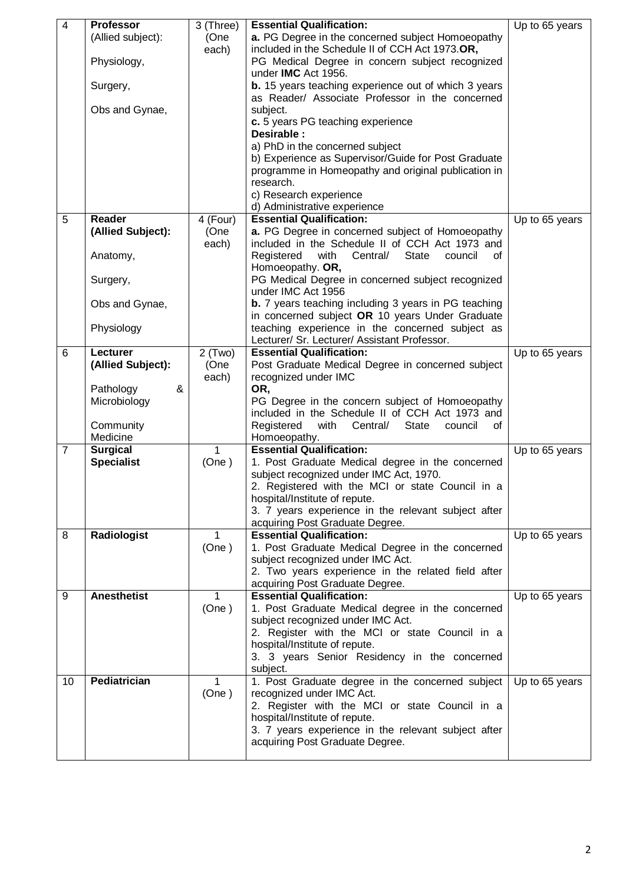| $\overline{4}$ | <b>Professor</b>          | 3 (Three)             | <b>Essential Qualification:</b>                                                 | Up to 65 years              |
|----------------|---------------------------|-----------------------|---------------------------------------------------------------------------------|-----------------------------|
|                | (Allied subject):<br>(One |                       | a. PG Degree in the concerned subject Homoeopathy                               |                             |
|                | each)                     |                       | included in the Schedule II of CCH Act 1973.OR,                                 |                             |
|                | Physiology,               |                       | PG Medical Degree in concern subject recognized                                 |                             |
|                |                           |                       | under IMC Act 1956.                                                             |                             |
|                | Surgery,                  |                       | <b>b.</b> 15 years teaching experience out of which 3 years                     |                             |
|                |                           |                       | as Reader/ Associate Professor in the concerned                                 |                             |
|                | Obs and Gynae,            |                       | subject.                                                                        |                             |
|                |                           |                       | c. 5 years PG teaching experience                                               |                             |
|                |                           |                       | Desirable:                                                                      |                             |
|                |                           |                       | a) PhD in the concerned subject                                                 |                             |
|                |                           |                       | b) Experience as Supervisor/Guide for Post Graduate                             |                             |
|                |                           |                       | programme in Homeopathy and original publication in                             |                             |
|                |                           |                       | research.                                                                       |                             |
|                |                           |                       | c) Research experience                                                          |                             |
|                |                           |                       | d) Administrative experience                                                    |                             |
| 5              | Reader                    | $\overline{4}$ (Four) | <b>Essential Qualification:</b>                                                 | $\overline{Up}$ to 65 years |
|                | (Allied Subject):         | (One                  | a. PG Degree in concerned subject of Homoeopathy                                |                             |
|                |                           | each)                 | included in the Schedule II of CCH Act 1973 and                                 |                             |
|                | Anatomy,                  |                       | Registered<br>with<br><b>State</b><br>Central/<br>council<br>οf                 |                             |
|                |                           |                       | Homoeopathy. OR,                                                                |                             |
|                | Surgery,                  |                       | PG Medical Degree in concerned subject recognized                               |                             |
|                |                           |                       | under IMC Act 1956                                                              |                             |
|                | Obs and Gynae,            |                       | <b>b.</b> 7 years teaching including 3 years in PG teaching                     |                             |
|                |                           |                       | in concerned subject OR 10 years Under Graduate                                 |                             |
|                | Physiology                |                       | teaching experience in the concerned subject as                                 |                             |
|                | Lecturer                  |                       | Lecturer/ Sr. Lecturer/ Assistant Professor.<br><b>Essential Qualification:</b> |                             |
| 6              | (Allied Subject):         | 2(Two)                |                                                                                 | Up to 65 years              |
|                |                           | (One<br>each)         | Post Graduate Medical Degree in concerned subject<br>recognized under IMC       |                             |
|                | Pathology<br>&            |                       | OR,                                                                             |                             |
|                | Microbiology              |                       | PG Degree in the concern subject of Homoeopathy                                 |                             |
|                |                           |                       | included in the Schedule II of CCH Act 1973 and                                 |                             |
|                | Community                 |                       | Registered<br>with<br>Central/<br><b>State</b><br>council<br>οf                 |                             |
|                | Medicine                  |                       | Homoeopathy.                                                                    |                             |
| 7              | <b>Surgical</b>           | 1                     | <b>Essential Qualification:</b>                                                 | Up to 65 years              |
|                | <b>Specialist</b>         | (One)                 | 1. Post Graduate Medical degree in the concerned                                |                             |
|                |                           |                       | subject recognized under IMC Act, 1970.                                         |                             |
|                |                           |                       | 2. Registered with the MCI or state Council in a                                |                             |
|                |                           |                       | hospital/Institute of repute.                                                   |                             |
|                |                           |                       | 3. 7 years experience in the relevant subject after                             |                             |
|                |                           |                       | acquiring Post Graduate Degree.                                                 |                             |
| 8              | Radiologist               | 1                     | <b>Essential Qualification:</b>                                                 | Up to 65 years              |
|                |                           | (One)                 | 1. Post Graduate Medical Degree in the concerned                                |                             |
|                |                           |                       | subject recognized under IMC Act.                                               |                             |
|                |                           |                       | 2. Two years experience in the related field after                              |                             |
|                |                           |                       | acquiring Post Graduate Degree.                                                 |                             |
| 9              | <b>Anesthetist</b>        | $\mathbf{1}$          | <b>Essential Qualification:</b>                                                 | Up to 65 years              |
|                |                           | (One)                 | 1. Post Graduate Medical degree in the concerned                                |                             |
|                |                           |                       | subject recognized under IMC Act.                                               |                             |
|                |                           |                       | 2. Register with the MCI or state Council in a                                  |                             |
|                |                           |                       | hospital/Institute of repute.                                                   |                             |
|                |                           |                       | 3. 3 years Senior Residency in the concerned<br>subject.                        |                             |
| 10             | Pediatrician              | 1                     | 1. Post Graduate degree in the concerned subject                                | Up to 65 years              |
|                |                           | (One)                 | recognized under IMC Act.                                                       |                             |
|                |                           |                       | 2. Register with the MCI or state Council in a                                  |                             |
|                |                           |                       | hospital/Institute of repute.                                                   |                             |
|                |                           |                       | 3. 7 years experience in the relevant subject after                             |                             |
|                |                           |                       | acquiring Post Graduate Degree.                                                 |                             |
|                |                           |                       |                                                                                 |                             |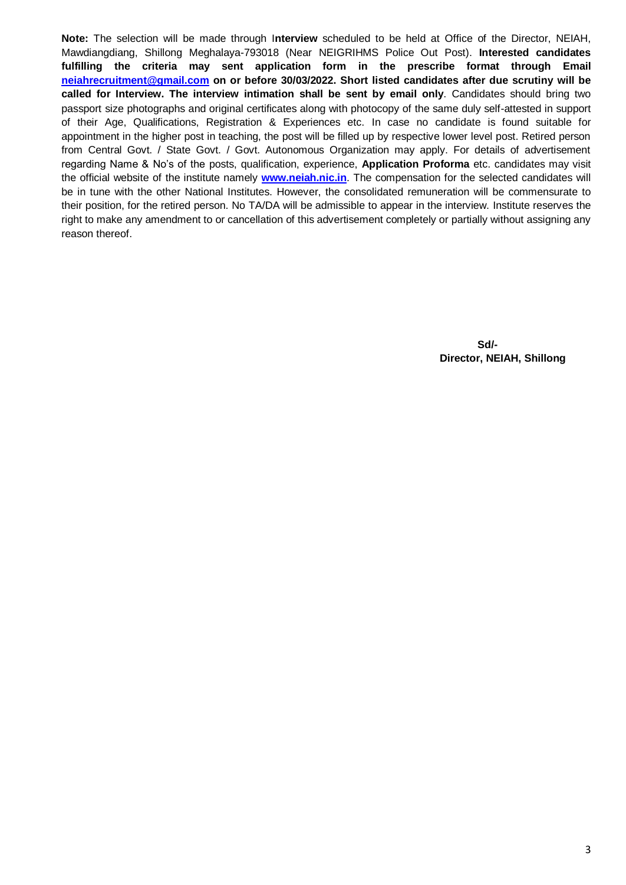**Note:** The selection will be made through I**nterview** scheduled to be held at Office of the Director, NEIAH, Mawdiangdiang, Shillong Meghalaya-793018 (Near NEIGRIHMS Police Out Post). **Interested candidates fulfilling the criteria may sent application form in the prescribe format through Email [neiahrecruitment@gmail.com](mailto:neiahrecruitment@gmail.com) on or before 30/03/2022. Short listed candidates after due scrutiny will be called for Interview. The interview intimation shall be sent by email only**. Candidates should bring two passport size photographs and original certificates along with photocopy of the same duly self-attested in support of their Age, Qualifications, Registration & Experiences etc. In case no candidate is found suitable for appointment in the higher post in teaching, the post will be filled up by respective lower level post. Retired person from Central Govt. / State Govt. / Govt. Autonomous Organization may apply. For details of advertisement regarding Name & No's of the posts, qualification, experience, **Application Proforma** etc. candidates may visit the official website of the institute namely **[www.neiah.nic.in](http://www.neiah.nic.in/)**. The compensation for the selected candidates will be in tune with the other National Institutes. However, the consolidated remuneration will be commensurate to their position, for the retired person. No TA/DA will be admissible to appear in the interview. Institute reserves the right to make any amendment to or cancellation of this advertisement completely or partially without assigning any reason thereof.

> **Sd/- Director, NEIAH, Shillong**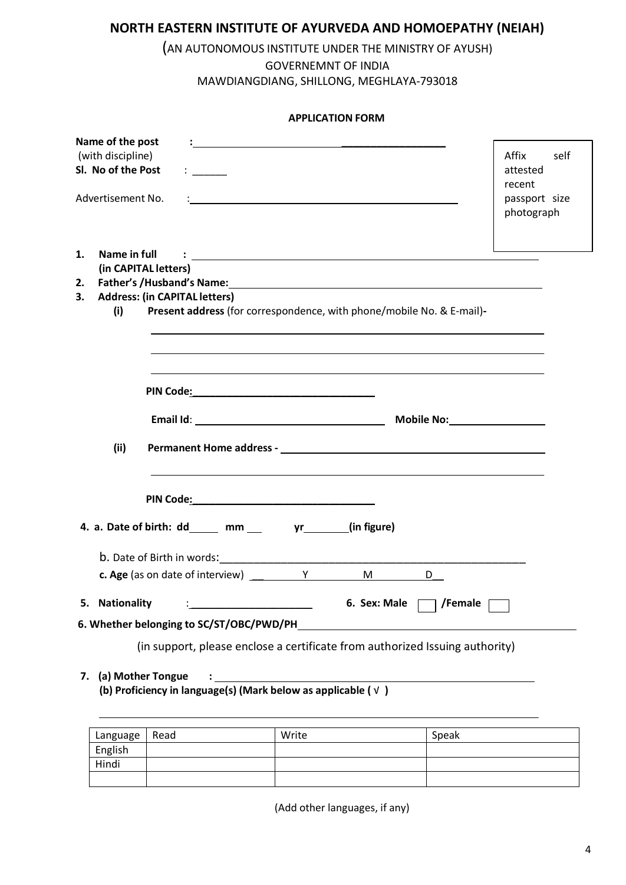# **NORTH EASTERN INSTITUTE OF AYURVEDA AND HOMOEPATHY (NEIAH)**

## (AN AUTONOMOUS INSTITUTE UNDER THE MINISTRY OF AYUSH) GOVERNEMNT OF INDIA MAWDIANGDIANG, SHILLONG, MEGHLAYA-793018

|                                                                                  | <b>APPLICATION FORM</b>                                                                                                                                                                                                              |                                                                    |
|----------------------------------------------------------------------------------|--------------------------------------------------------------------------------------------------------------------------------------------------------------------------------------------------------------------------------------|--------------------------------------------------------------------|
| Name of the post<br>(with discipline)<br>Sl. No of the Post<br>Advertisement No. |                                                                                                                                                                                                                                      | Affix<br>self<br>attested<br>recent<br>passport size<br>photograph |
| Name in full<br>1.                                                               | <u>and the community of the community of the community of the community of the community of the community of the community of the community of the community of the community of the community of the community of the community</u> |                                                                    |
| 2.                                                                               | (in CAPITAL letters)                                                                                                                                                                                                                 |                                                                    |
| 3.                                                                               | <b>Address: (in CAPITAL letters)</b>                                                                                                                                                                                                 |                                                                    |
| (i)<br>(ii)                                                                      | Present address (for correspondence, with phone/mobile No. & E-mail)-                                                                                                                                                                |                                                                    |
|                                                                                  |                                                                                                                                                                                                                                      |                                                                    |
|                                                                                  | 4. a. Date of birth: dd _____ mm ____ yr ______ (in figure)                                                                                                                                                                          |                                                                    |
|                                                                                  | <b>b.</b> Date of Birth in words: <b>Example 20</b>                                                                                                                                                                                  |                                                                    |
|                                                                                  | <b>c. Age</b> (as on date of interview) $\frac{1}{\sqrt{1-\frac{1}{2}}}\sqrt{1-\frac{1}{2}}$<br>M <sub>ar</sub><br>D                                                                                                                 |                                                                    |
| 5. Nationality                                                                   | 6. Sex: Male<br>/Female                                                                                                                                                                                                              |                                                                    |
|                                                                                  | 6. Whether belonging to SC/ST/OBC/PWD/PH                                                                                                                                                                                             |                                                                    |
|                                                                                  | (in support, please enclose a certificate from authorized Issuing authority)                                                                                                                                                         |                                                                    |
| 7.                                                                               | (a) Mother Tongue<br><u> 1989 - Johann Barbara, martxa alemaniar a</u><br>(b) Proficiency in language(s) (Mark below as applicable (√)                                                                                               |                                                                    |

| Language   Read | Write | Speak |
|-----------------|-------|-------|
| English         |       |       |
| Hindi           |       |       |
|                 |       |       |

(Add other languages, if any)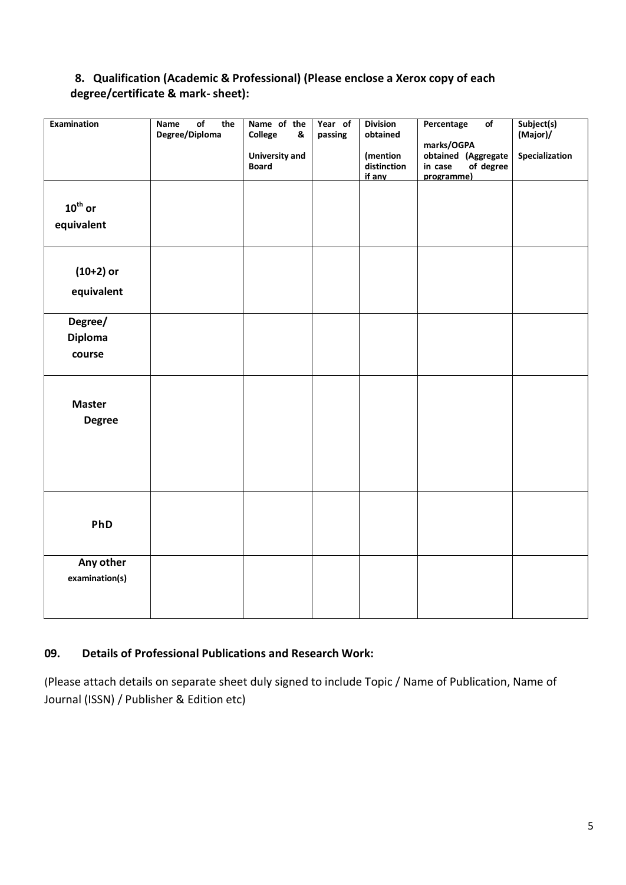## **8. Qualification (Academic & Professional) (Please enclose a Xerox copy of each degree/certificate & mark- sheet):**

| <b>Examination</b>                | $\overline{of}$<br>the<br>Name<br>Degree/Diploma | Name of the<br>College<br>&<br><b>University and</b><br><b>Board</b> | Year of<br>passing | <b>Division</b><br>obtained<br>(mention<br>distinction<br>if any | Percentage<br>$\overline{of}$<br>marks/OGPA<br>obtained (Aggregate<br>in case<br>of degree<br>programme) | Subject(s)<br>(Major)/<br>Specialization |
|-----------------------------------|--------------------------------------------------|----------------------------------------------------------------------|--------------------|------------------------------------------------------------------|----------------------------------------------------------------------------------------------------------|------------------------------------------|
| $10^{\text{th}}$ or<br>equivalent |                                                  |                                                                      |                    |                                                                  |                                                                                                          |                                          |
| $(10+2)$ or<br>equivalent         |                                                  |                                                                      |                    |                                                                  |                                                                                                          |                                          |
| Degree/<br>Diploma<br>course      |                                                  |                                                                      |                    |                                                                  |                                                                                                          |                                          |
| <b>Master</b><br><b>Degree</b>    |                                                  |                                                                      |                    |                                                                  |                                                                                                          |                                          |
| PhD                               |                                                  |                                                                      |                    |                                                                  |                                                                                                          |                                          |
| Any other<br>examination(s)       |                                                  |                                                                      |                    |                                                                  |                                                                                                          |                                          |

## **09. Details of Professional Publications and Research Work:**

(Please attach details on separate sheet duly signed to include Topic / Name of Publication, Name of Journal (ISSN) / Publisher & Edition etc)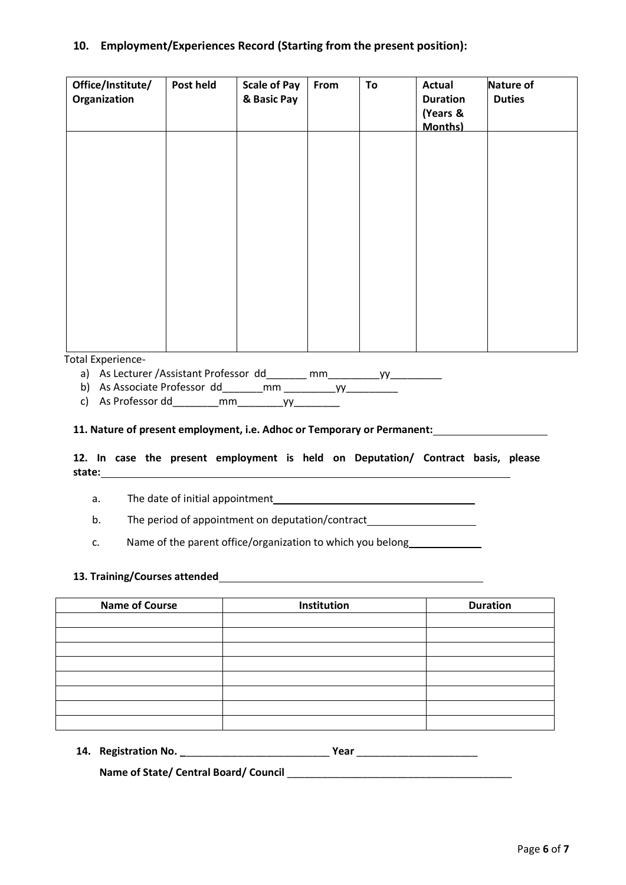### **10. Employment/Experiences Record (Starting from the present position):**

| Office/Institute/<br>Organization | Post held | <b>Scale of Pay</b><br>& Basic Pay | From | To | <b>Actual</b><br><b>Duration</b><br>(Years &<br><b>Months)</b> | Nature of<br><b>Duties</b> |
|-----------------------------------|-----------|------------------------------------|------|----|----------------------------------------------------------------|----------------------------|
|                                   |           |                                    |      |    |                                                                |                            |
|                                   |           |                                    |      |    |                                                                |                            |
|                                   |           |                                    |      |    |                                                                |                            |
|                                   |           |                                    |      |    |                                                                |                            |
| <b>Total Experience-</b>          |           |                                    |      |    |                                                                |                            |

a) As Lecturer /Assistant Professor dd\_\_\_\_\_\_\_ mm\_\_\_\_\_\_\_\_\_yy\_\_\_\_\_\_\_\_\_

b) As Associate Professor dd\_\_\_\_\_\_\_mm \_\_\_\_\_\_\_\_\_yy\_\_\_\_\_\_\_\_\_

c) As Professor dd mm yy

#### **11. Nature of present employment, i.e. Adhoc or Temporary or Permanent:**

#### **12. In case the present employment is held on Deputation/ Contract basis, please state:**

- a. The date of initial appointment
- b. The period of appointment on deputation/contract\_\_\_\_\_\_\_\_\_\_\_\_\_\_\_\_\_\_\_\_\_\_\_\_\_\_\_\_\_
- c. Name of the parent office/organization to which you belong

#### **13. Training/Courses attended**

| <b>Name of Course</b> | Institution | <b>Duration</b> |
|-----------------------|-------------|-----------------|
|                       |             |                 |
|                       |             |                 |
|                       |             |                 |
|                       |             |                 |
|                       |             |                 |
|                       |             |                 |
|                       |             |                 |
|                       |             |                 |

|  | 14. Registration No. |  |  |  |
|--|----------------------|--|--|--|
|--|----------------------|--|--|--|

**Name of State/ Central Board/ Council** \_\_\_\_\_\_\_\_\_\_\_\_\_\_\_\_\_\_\_\_\_\_\_\_\_\_\_\_\_\_\_\_\_\_\_\_\_\_\_